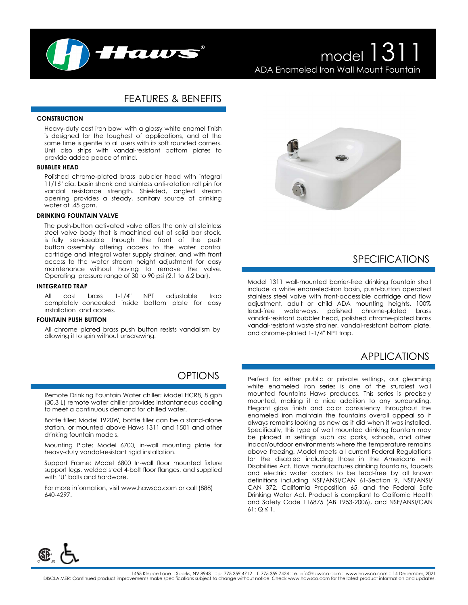

# model 1311 ADA Enameled Iron Wall Mount Fountain

# FEATURES & BENEFITS

#### **CONSTRUCTION**

Heavy-duty cast iron bowl with a glossy white enamel finish is designed for the toughest of applications, and at the same time is gentle to all users with its soft rounded corners. Unit also ships with vandal-resistant bottom plates to provide added peace of mind.

#### **BUBBLER HEAD**

Polished chrome-plated brass bubbler head with integral 11/16" dia. basin shank and stainless anti-rotation roll pin for vandal resistance strength. Shielded, angled stream opening provides a steady, sanitary source of drinking water at .45 gpm.

#### **DRINKING FOUNTAIN VALVE**

The push-button activated valve offers the only all stainless steel valve body that is machined out of solid bar stock, is fully serviceable through the front of the push button assembly offering access to the water control cartridge and integral water supply strainer, and with front access to the water stream height adjustment for easy maintenance without having to remove the valve. Operating pressure range of 30 to 90 psi (2.1 to 6.2 bar).

#### **INTEGRATED TRAP**

All cast brass 1-1/4" NPT adjustable trap completely concealed inside bottom plate for easy installation and access.

#### **FOUNTAIN PUSH BUTTON**

All chrome plated brass push button resists vandalism by allowing it to spin without unscrewing.

### **OPTIONS**

Remote Drinking Fountain Water chiller: Model HCR8, 8 gph (30.3 L) remote water chiller provides instantaneous cooling to meet a continuous demand for chilled water.

Bottle filler: Model 1920W, bottle filler can be a stand-alone station, or mounted above Haws 1311 and 1501 and other drinking fountain models.

Mounting Plate: Model 6700, in-wall mounting plate for heavy-duty vandal-resistant rigid installation.

Support Frame: Model 6800 In-wall floor mounted fixture support legs, welded steel 4-bolt floor flanges, and supplied with 'U' bolts and hardware.

For more information, visit www.hawsco.com or call (888) 640-4297.



### SPECIFICATIONS

Model 1311 wall-mounted barrier-free drinking fountain shall include a white enameled-iron basin, push-button operated stainless steel valve with front-accessible cartridge and flow adjustment, adult or child ADA mounting heights, 100% lead-free waterways, polished chrome-plated brass vandal-resistant bubbler head, polished chrome-plated brass vandal-resistant waste strainer, vandal-resistant bottom plate, and chrome-plated 1-1/4" NPT trap.

# APPLICATIONS

Perfect for either public or private settings, our gleaming white enameled iron series is one of the sturdiest wall mounted fountains Haws produces. This series is precisely mounted, making it a nice addition to any surrounding. Elegant gloss finish and color consistency throughout the enameled iron maintain the fountains overall appeal so it always remains looking as new as it did when it was installed. Specifically, this type of wall mounted drinking fountain may be placed in settings such as: parks, schools, and other indoor/outdoor environments where the temperature remains above freezing. Model meets all current Federal Regulations for the disabled including those in the Americans with Disabilities Act. Haws manufactures drinking fountains, faucets and electric water coolers to be lead-free by all known definitions including NSF/ANSI/CAN 61-Section 9, NSF/ANSI/ CAN 372, California Proposition 65, and the Federal Safe Drinking Water Act. Product is compliant to California Health and Safety Code 116875 (AB 1953-2006), and NSF/ANSI/CAN 61:  $Q \leq 1$ .